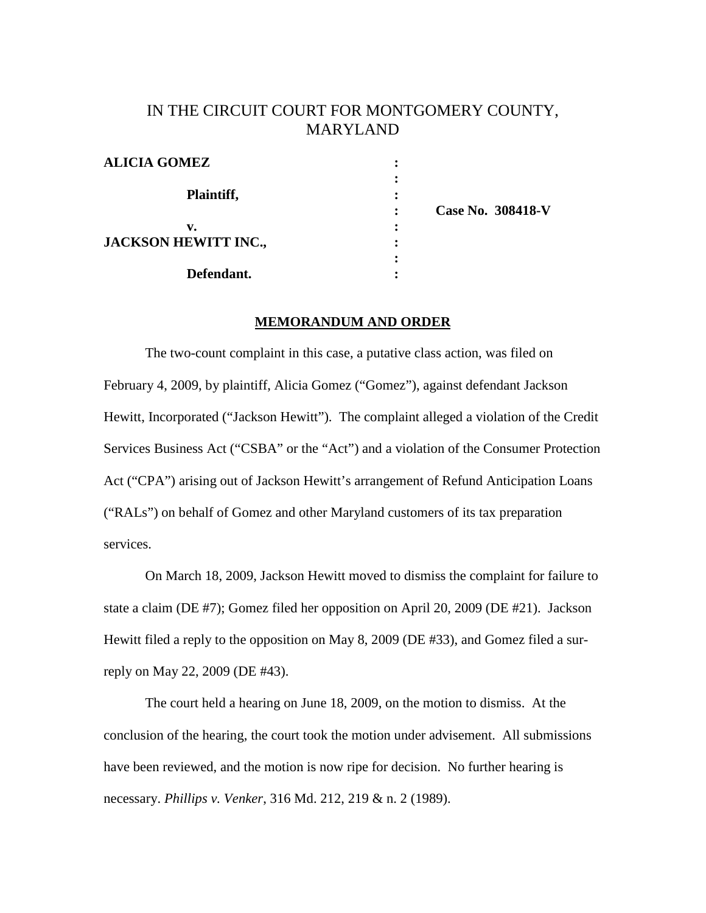# IN THE CIRCUIT COURT FOR MONTGOMERY COUNTY, MARYLAND

| <b>ALICIA GOMEZ</b>         |                   |
|-----------------------------|-------------------|
| Plaintiff,                  |                   |
|                             |                   |
|                             | Case No. 308418-V |
| v.                          |                   |
| <b>JACKSON HEWITT INC.,</b> |                   |
|                             |                   |
| Defendant.                  |                   |

#### **MEMORANDUM AND ORDER**

The two-count complaint in this case, a putative class action, was filed on February 4, 2009, by plaintiff, Alicia Gomez ("Gomez"), against defendant Jackson Hewitt, Incorporated ("Jackson Hewitt"). The complaint alleged a violation of the Credit Services Business Act ("CSBA" or the "Act") and a violation of the Consumer Protection Act ("CPA") arising out of Jackson Hewitt's arrangement of Refund Anticipation Loans ("RALs") on behalf of Gomez and other Maryland customers of its tax preparation services.

On March 18, 2009, Jackson Hewitt moved to dismiss the complaint for failure to state a claim (DE #7); Gomez filed her opposition on April 20, 2009 (DE #21). Jackson Hewitt filed a reply to the opposition on May 8, 2009 (DE #33), and Gomez filed a surreply on May 22, 2009 (DE #43).

The court held a hearing on June 18, 2009, on the motion to dismiss. At the conclusion of the hearing, the court took the motion under advisement. All submissions have been reviewed, and the motion is now ripe for decision. No further hearing is necessary. *Phillips v. Venker*, 316 Md. 212, 219 & n. 2 (1989).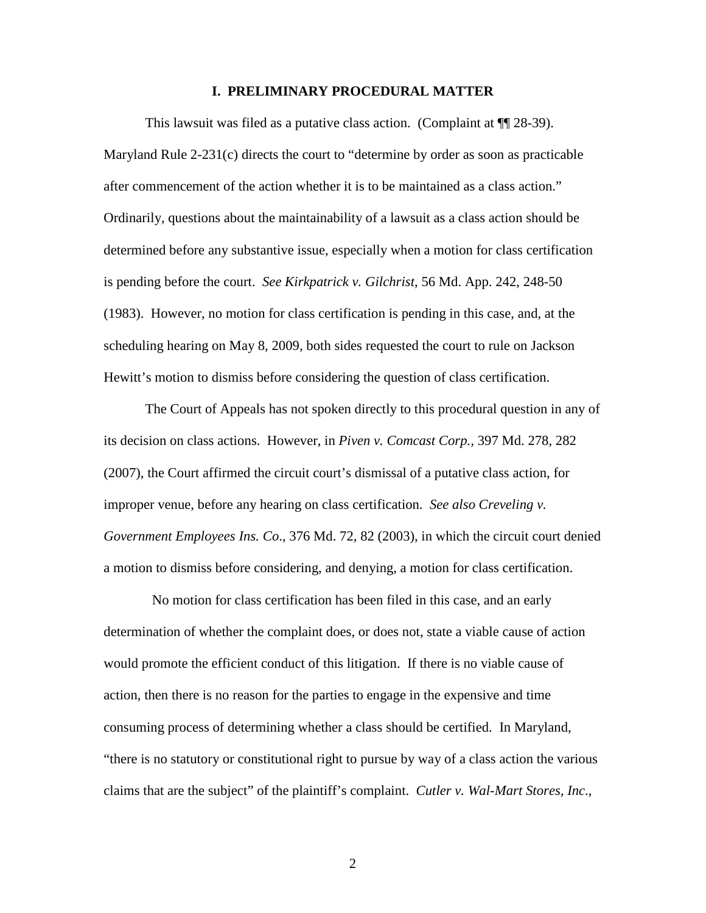## **I. PRELIMINARY PROCEDURAL MATTER**

This lawsuit was filed as a putative class action. (Complaint at  $\P$ [28-39). Maryland Rule 2-231(c) directs the court to "determine by order as soon as practicable after commencement of the action whether it is to be maintained as a class action." Ordinarily, questions about the maintainability of a lawsuit as a class action should be determined before any substantive issue, especially when a motion for class certification is pending before the court. *See Kirkpatrick v. Gilchrist*, 56 Md. App. 242, 248-50 (1983). However, no motion for class certification is pending in this case, and, at the scheduling hearing on May 8, 2009, both sides requested the court to rule on Jackson Hewitt's motion to dismiss before considering the question of class certification.

The Court of Appeals has not spoken directly to this procedural question in any of its decision on class actions. However, in *Piven v. Comcast Corp.,* 397 Md. 278, 282 (2007), the Court affirmed the circuit court's dismissal of a putative class action, for improper venue, before any hearing on class certification. *See also Creveling v. Government Employees Ins. Co*., 376 Md. 72, 82 (2003), in which the circuit court denied a motion to dismiss before considering, and denying, a motion for class certification.

 No motion for class certification has been filed in this case, and an early determination of whether the complaint does, or does not, state a viable cause of action would promote the efficient conduct of this litigation. If there is no viable cause of action, then there is no reason for the parties to engage in the expensive and time consuming process of determining whether a class should be certified. In Maryland, "there is no statutory or constitutional right to pursue by way of a class action the various claims that are the subject" of the plaintiff's complaint. *Cutler v. Wal-Mart Stores, Inc*.,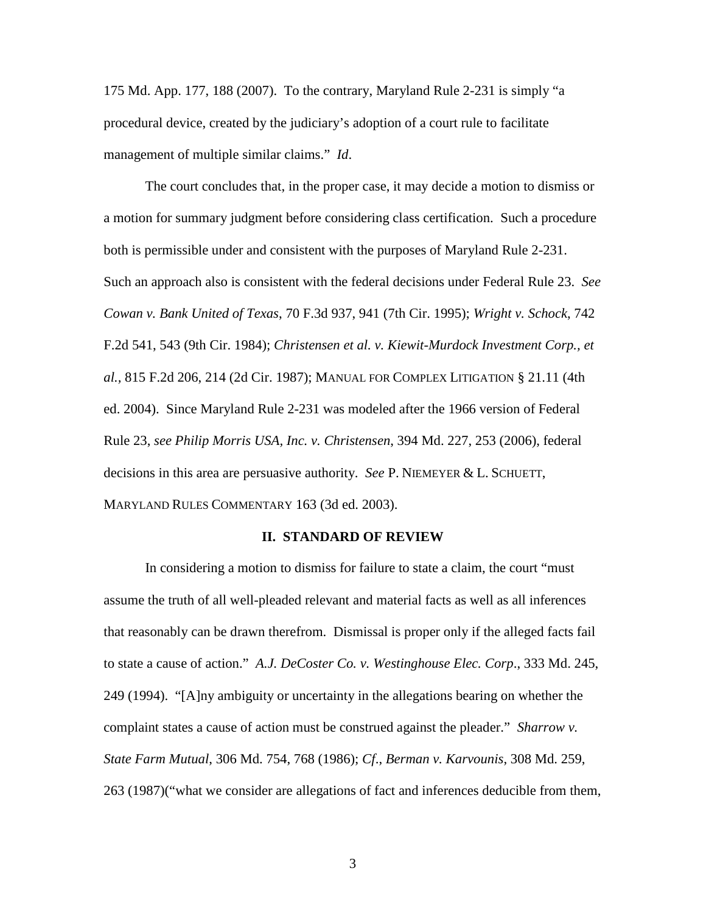175 Md. App. 177, 188 (2007). To the contrary, Maryland Rule 2-231 is simply "a procedural device, created by the judiciary's adoption of a court rule to facilitate management of multiple similar claims." *Id*.

The court concludes that, in the proper case, it may decide a motion to dismiss or a motion for summary judgment before considering class certification. Such a procedure both is permissible under and consistent with the purposes of Maryland Rule 2-231. Such an approach also is consistent with the federal decisions under Federal Rule 23. *See Cowan v. Bank United of Texas*, 70 F.3d 937, 941 (7th Cir. 1995); *Wright v. Schock*, 742 F.2d 541, 543 (9th Cir. 1984); *Christensen et al. v. Kiewit-Murdock Investment Corp., et al.,* 815 F.2d 206, 214 (2d Cir. 1987); MANUAL FOR COMPLEX LITIGATION § 21.11 (4th ed. 2004). Since Maryland Rule 2-231 was modeled after the 1966 version of Federal Rule 23, *see Philip Morris USA, Inc. v. Christensen*, 394 Md. 227, 253 (2006), federal decisions in this area are persuasive authority. *See* P. NIEMEYER & L. SCHUETT, MARYLAND RULES COMMENTARY 163 (3d ed. 2003).

## **II. STANDARD OF REVIEW**

In considering a motion to dismiss for failure to state a claim, the court "must assume the truth of all well-pleaded relevant and material facts as well as all inferences that reasonably can be drawn therefrom. Dismissal is proper only if the alleged facts fail to state a cause of action." *A.J. DeCoster Co. v. Westinghouse Elec. Corp*., 333 Md. 245, 249 (1994). "[A]ny ambiguity or uncertainty in the allegations bearing on whether the complaint states a cause of action must be construed against the pleader." *Sharrow v. State Farm Mutual*, 306 Md. 754, 768 (1986); *Cf*., *Berman v. Karvounis*, 308 Md. 259, 263 (1987)("what we consider are allegations of fact and inferences deducible from them,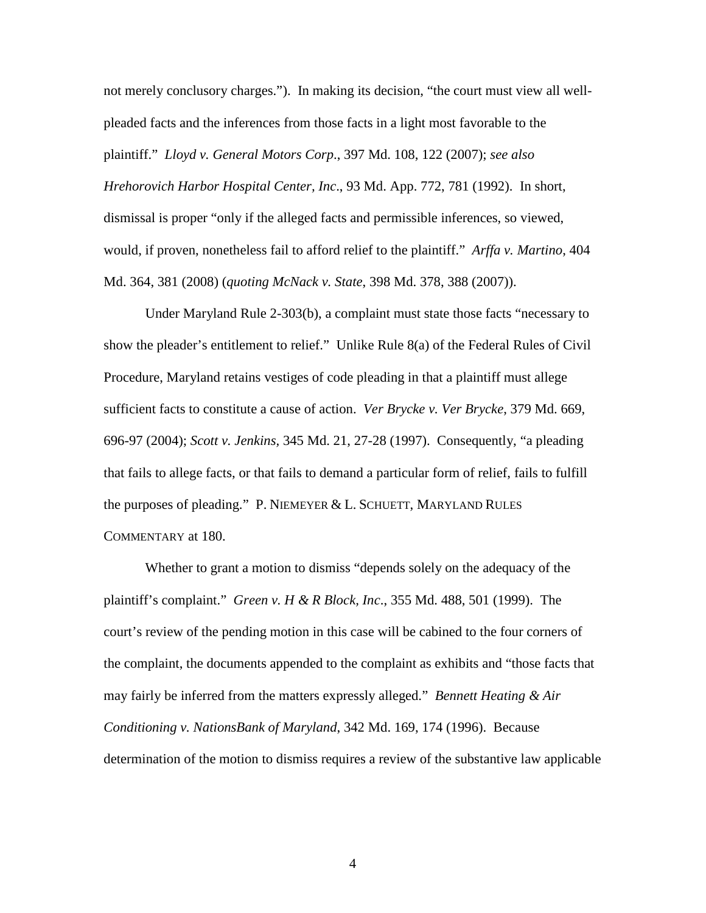not merely conclusory charges."). In making its decision, "the court must view all wellpleaded facts and the inferences from those facts in a light most favorable to the plaintiff." *Lloyd v. General Motors Corp*., 397 Md. 108, 122 (2007); *see also Hrehorovich Harbor Hospital Center, Inc*., 93 Md. App. 772, 781 (1992). In short, dismissal is proper "only if the alleged facts and permissible inferences, so viewed, would, if proven, nonetheless fail to afford relief to the plaintiff." *Arffa v. Martino*, 404 Md. 364, 381 (2008) (*quoting McNack v. State*, 398 Md. 378, 388 (2007)).

Under Maryland Rule 2-303(b), a complaint must state those facts "necessary to show the pleader's entitlement to relief." Unlike Rule 8(a) of the Federal Rules of Civil Procedure, Maryland retains vestiges of code pleading in that a plaintiff must allege sufficient facts to constitute a cause of action. *Ver Brycke v. Ver Brycke*, 379 Md. 669, 696-97 (2004); *Scott v. Jenkins,* 345 Md. 21, 27-28 (1997). Consequently, "a pleading that fails to allege facts, or that fails to demand a particular form of relief, fails to fulfill the purposes of pleading." P. NIEMEYER & L. SCHUETT, MARYLAND RULES COMMENTARY at 180.

Whether to grant a motion to dismiss "depends solely on the adequacy of the plaintiff's complaint." *Green v. H & R Block, Inc*., 355 Md. 488, 501 (1999). The court's review of the pending motion in this case will be cabined to the four corners of the complaint, the documents appended to the complaint as exhibits and "those facts that may fairly be inferred from the matters expressly alleged." *Bennett Heating & Air Conditioning v. NationsBank of Maryland*, 342 Md. 169, 174 (1996). Because determination of the motion to dismiss requires a review of the substantive law applicable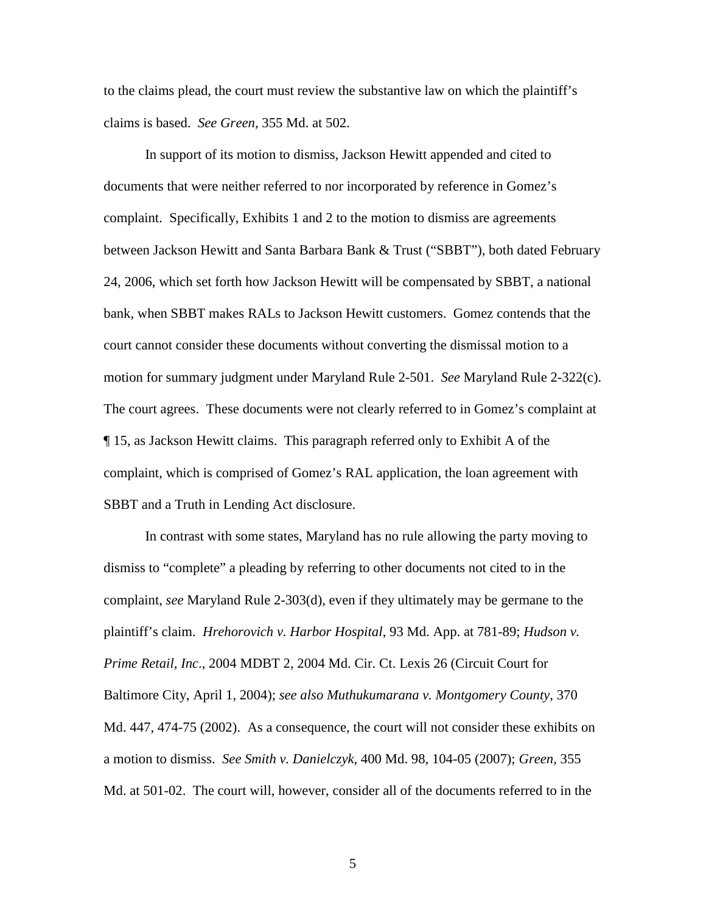to the claims plead, the court must review the substantive law on which the plaintiff's claims is based. *See Green,* 355 Md. at 502.

In support of its motion to dismiss, Jackson Hewitt appended and cited to documents that were neither referred to nor incorporated by reference in Gomez's complaint. Specifically, Exhibits 1 and 2 to the motion to dismiss are agreements between Jackson Hewitt and Santa Barbara Bank & Trust ("SBBT"), both dated February 24, 2006, which set forth how Jackson Hewitt will be compensated by SBBT, a national bank, when SBBT makes RALs to Jackson Hewitt customers. Gomez contends that the court cannot consider these documents without converting the dismissal motion to a motion for summary judgment under Maryland Rule 2-501. *See* Maryland Rule 2-322(c). The court agrees. These documents were not clearly referred to in Gomez's complaint at ¶ 15, as Jackson Hewitt claims. This paragraph referred only to Exhibit A of the complaint, which is comprised of Gomez's RAL application, the loan agreement with SBBT and a Truth in Lending Act disclosure.

In contrast with some states, Maryland has no rule allowing the party moving to dismiss to "complete" a pleading by referring to other documents not cited to in the complaint, *see* Maryland Rule 2-303(d), even if they ultimately may be germane to the plaintiff's claim. *Hrehorovich v. Harbor Hospital*, 93 Md. App. at 781-89; *Hudson v. Prime Retail, Inc*., 2004 MDBT 2, 2004 Md. Cir. Ct. Lexis 26 (Circuit Court for Baltimore City, April 1, 2004); *see also Muthukumarana v. Montgomery County*, 370 Md. 447, 474-75 (2002). As a consequence, the court will not consider these exhibits on a motion to dismiss. *See Smith v. Danielczyk*, 400 Md. 98, 104-05 (2007); *Green*, 355 Md. at 501-02. The court will, however, consider all of the documents referred to in the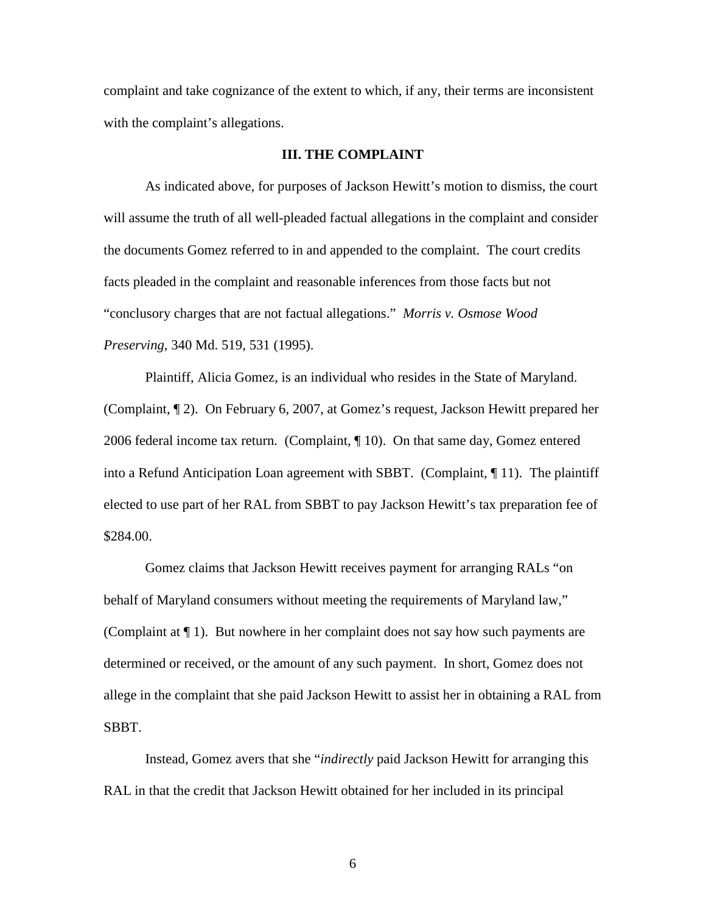complaint and take cognizance of the extent to which, if any, their terms are inconsistent with the complaint's allegations.

## **III. THE COMPLAINT**

As indicated above, for purposes of Jackson Hewitt's motion to dismiss, the court will assume the truth of all well-pleaded factual allegations in the complaint and consider the documents Gomez referred to in and appended to the complaint. The court credits facts pleaded in the complaint and reasonable inferences from those facts but not "conclusory charges that are not factual allegations." *Morris v. Osmose Wood Preserving*, 340 Md. 519, 531 (1995).

Plaintiff, Alicia Gomez, is an individual who resides in the State of Maryland. (Complaint, ¶ 2). On February 6, 2007, at Gomez's request, Jackson Hewitt prepared her 2006 federal income tax return. (Complaint, ¶ 10). On that same day, Gomez entered into a Refund Anticipation Loan agreement with SBBT. (Complaint, ¶ 11). The plaintiff elected to use part of her RAL from SBBT to pay Jackson Hewitt's tax preparation fee of \$284.00.

Gomez claims that Jackson Hewitt receives payment for arranging RALs "on behalf of Maryland consumers without meeting the requirements of Maryland law," (Complaint at  $\P$  1). But nowhere in her complaint does not say how such payments are determined or received, or the amount of any such payment. In short, Gomez does not allege in the complaint that she paid Jackson Hewitt to assist her in obtaining a RAL from SBBT.

Instead, Gomez avers that she "*indirectly* paid Jackson Hewitt for arranging this RAL in that the credit that Jackson Hewitt obtained for her included in its principal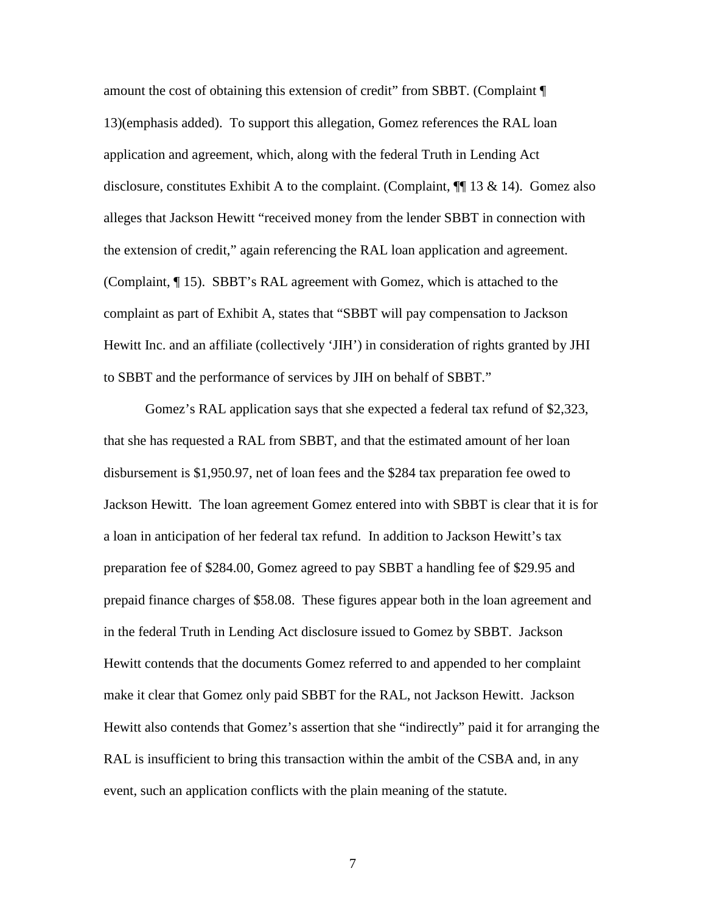amount the cost of obtaining this extension of credit" from SBBT. (Complaint ¶ 13)(emphasis added). To support this allegation, Gomez references the RAL loan application and agreement, which, along with the federal Truth in Lending Act disclosure, constitutes Exhibit A to the complaint. (Complaint,  $\P$  13 & 14). Gomez also alleges that Jackson Hewitt "received money from the lender SBBT in connection with the extension of credit," again referencing the RAL loan application and agreement. (Complaint, ¶ 15). SBBT's RAL agreement with Gomez, which is attached to the complaint as part of Exhibit A, states that "SBBT will pay compensation to Jackson Hewitt Inc. and an affiliate (collectively 'JIH') in consideration of rights granted by JHI to SBBT and the performance of services by JIH on behalf of SBBT."

Gomez's RAL application says that she expected a federal tax refund of \$2,323, that she has requested a RAL from SBBT, and that the estimated amount of her loan disbursement is \$1,950.97, net of loan fees and the \$284 tax preparation fee owed to Jackson Hewitt. The loan agreement Gomez entered into with SBBT is clear that it is for a loan in anticipation of her federal tax refund. In addition to Jackson Hewitt's tax preparation fee of \$284.00, Gomez agreed to pay SBBT a handling fee of \$29.95 and prepaid finance charges of \$58.08. These figures appear both in the loan agreement and in the federal Truth in Lending Act disclosure issued to Gomez by SBBT. Jackson Hewitt contends that the documents Gomez referred to and appended to her complaint make it clear that Gomez only paid SBBT for the RAL, not Jackson Hewitt. Jackson Hewitt also contends that Gomez's assertion that she "indirectly" paid it for arranging the RAL is insufficient to bring this transaction within the ambit of the CSBA and, in any event, such an application conflicts with the plain meaning of the statute.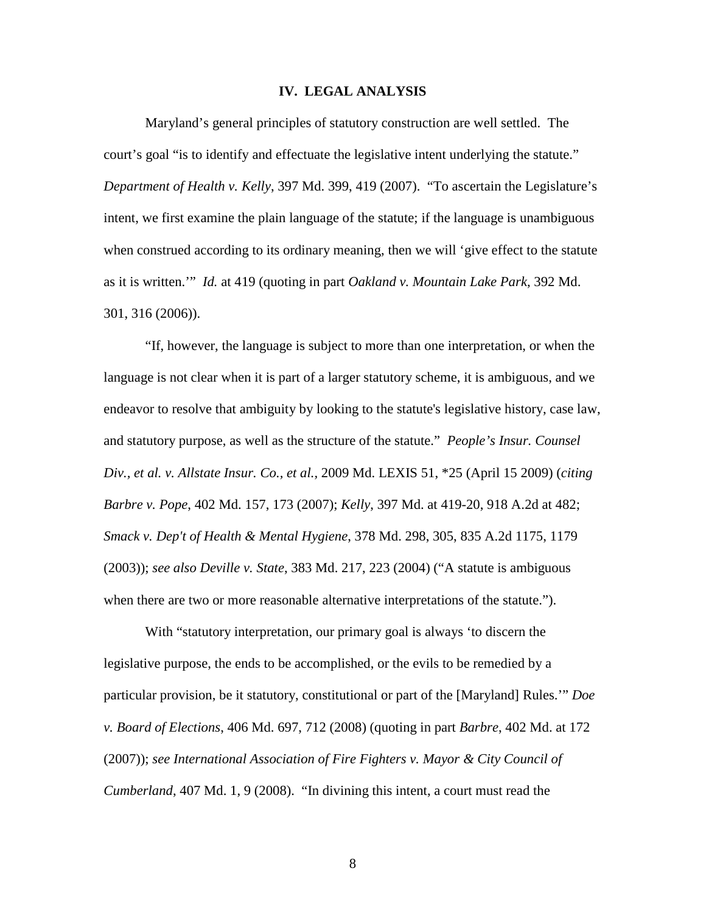## **IV. LEGAL ANALYSIS**

Maryland's general principles of statutory construction are well settled. The court's goal "is to identify and effectuate the legislative intent underlying the statute." *Department of Health v. Kelly*, 397 Md. 399, 419 (2007). "To ascertain the Legislature's intent, we first examine the plain language of the statute; if the language is unambiguous when construed according to its ordinary meaning, then we will 'give effect to the statute as it is written.'" *Id.* at 419 (quoting in part *Oakland v. Mountain Lake Park*, 392 Md. 301, 316 (2006)).

"If, however, the language is subject to more than one interpretation, or when the language is not clear when it is part of a larger statutory scheme, it is ambiguous, and we endeavor to resolve that ambiguity by looking to the statute's legislative history, case law, and statutory purpose, as well as the structure of the statute." *People's Insur. Counsel Div., et al. v. Allstate Insur. Co., et al.,* 2009 Md. LEXIS 51, \*25 (April 15 2009) (*citing Barbre v. Pope*, 402 Md. 157, 173 (2007); *Kelly*, 397 Md. at 419-20, 918 A.2d at 482; *Smack v. Dep't of Health & Mental Hygiene*, 378 Md. 298, 305, 835 A.2d 1175, 1179 (2003)); *see also Deville v. State*, 383 Md. 217, 223 (2004) ("A statute is ambiguous when there are two or more reasonable alternative interpretations of the statute.").

With "statutory interpretation, our primary goal is always 'to discern the legislative purpose, the ends to be accomplished, or the evils to be remedied by a particular provision, be it statutory, constitutional or part of the [Maryland] Rules.'" *Doe v. Board of Elections*, 406 Md. 697, 712 (2008) (quoting in part *Barbre*, 402 Md. at 172 (2007)); *see International Association of Fire Fighters v. Mayor & City Council of Cumberland*, 407 Md. 1, 9 (2008). "In divining this intent, a court must read the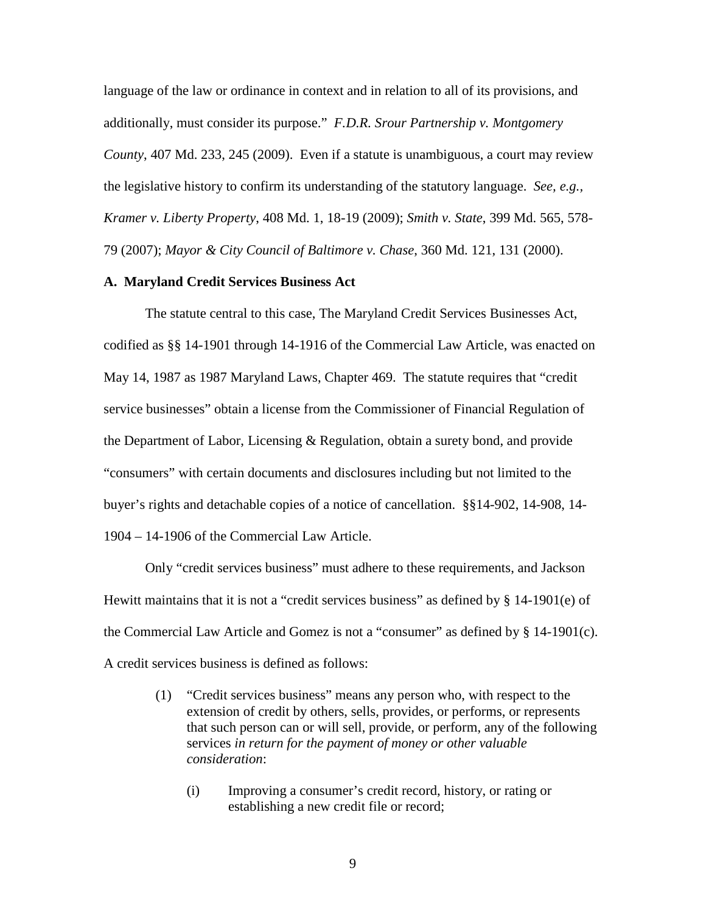language of the law or ordinance in context and in relation to all of its provisions, and additionally, must consider its purpose." *F.D.R. Srour Partnership v. Montgomery County*, 407 Md. 233, 245 (2009). Even if a statute is unambiguous, a court may review the legislative history to confirm its understanding of the statutory language. *See, e.g., Kramer v. Liberty Property*, 408 Md. 1, 18-19 (2009); *Smith v. State*, 399 Md. 565, 578- 79 (2007); *Mayor & City Council of Baltimore v. Chase*, 360 Md. 121, 131 (2000).

## **A. Maryland Credit Services Business Act**

The statute central to this case, The Maryland Credit Services Businesses Act, codified as §§ 14-1901 through 14-1916 of the Commercial Law Article, was enacted on May 14, 1987 as 1987 Maryland Laws, Chapter 469. The statute requires that "credit service businesses" obtain a license from the Commissioner of Financial Regulation of the Department of Labor, Licensing & Regulation, obtain a surety bond, and provide "consumers" with certain documents and disclosures including but not limited to the buyer's rights and detachable copies of a notice of cancellation. §§14-902, 14-908, 14- 1904 – 14-1906 of the Commercial Law Article.

Only "credit services business" must adhere to these requirements, and Jackson Hewitt maintains that it is not a "credit services business" as defined by  $\S$  14-1901(e) of the Commercial Law Article and Gomez is not a "consumer" as defined by § 14-1901(c). A credit services business is defined as follows:

- (1) "Credit services business" means any person who, with respect to the extension of credit by others, sells, provides, or performs, or represents that such person can or will sell, provide, or perform, any of the following services *in return for the payment of money or other valuable consideration*:
	- (i) Improving a consumer's credit record, history, or rating or establishing a new credit file or record;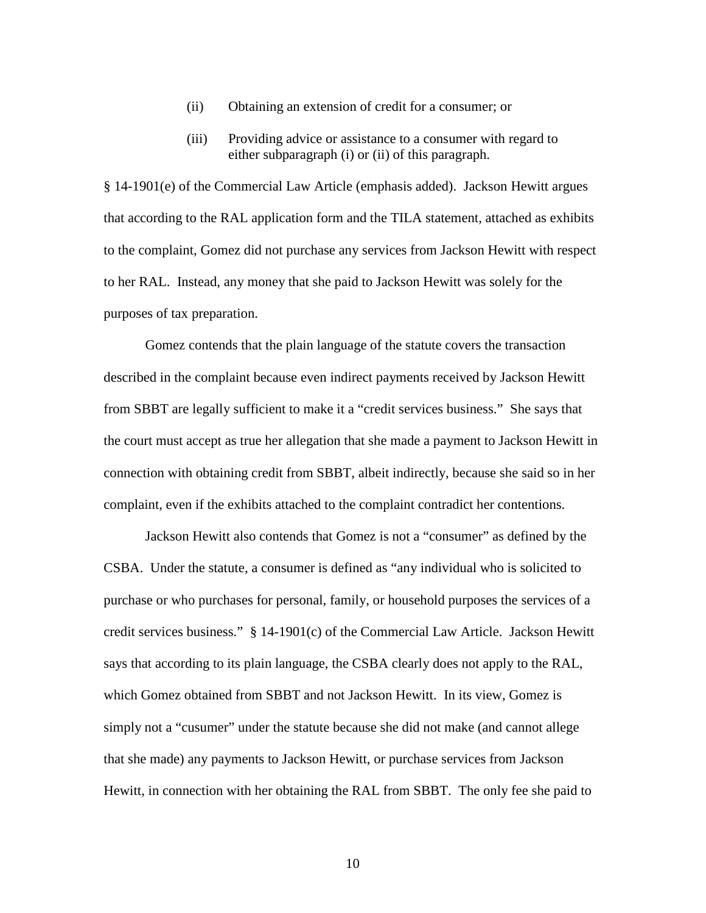- (ii) Obtaining an extension of credit for a consumer; or
- (iii) Providing advice or assistance to a consumer with regard to either subparagraph (i) or (ii) of this paragraph.

§ 14-1901(e) of the Commercial Law Article (emphasis added). Jackson Hewitt argues that according to the RAL application form and the TILA statement, attached as exhibits to the complaint, Gomez did not purchase any services from Jackson Hewitt with respect to her RAL. Instead, any money that she paid to Jackson Hewitt was solely for the purposes of tax preparation.

Gomez contends that the plain language of the statute covers the transaction described in the complaint because even indirect payments received by Jackson Hewitt from SBBT are legally sufficient to make it a "credit services business." She says that the court must accept as true her allegation that she made a payment to Jackson Hewitt in connection with obtaining credit from SBBT, albeit indirectly, because she said so in her complaint, even if the exhibits attached to the complaint contradict her contentions.

Jackson Hewitt also contends that Gomez is not a "consumer" as defined by the CSBA. Under the statute, a consumer is defined as "any individual who is solicited to purchase or who purchases for personal, family, or household purposes the services of a credit services business." § 14-1901(c) of the Commercial Law Article. Jackson Hewitt says that according to its plain language, the CSBA clearly does not apply to the RAL, which Gomez obtained from SBBT and not Jackson Hewitt. In its view, Gomez is simply not a "cusumer" under the statute because she did not make (and cannot allege that she made) any payments to Jackson Hewitt, or purchase services from Jackson Hewitt, in connection with her obtaining the RAL from SBBT. The only fee she paid to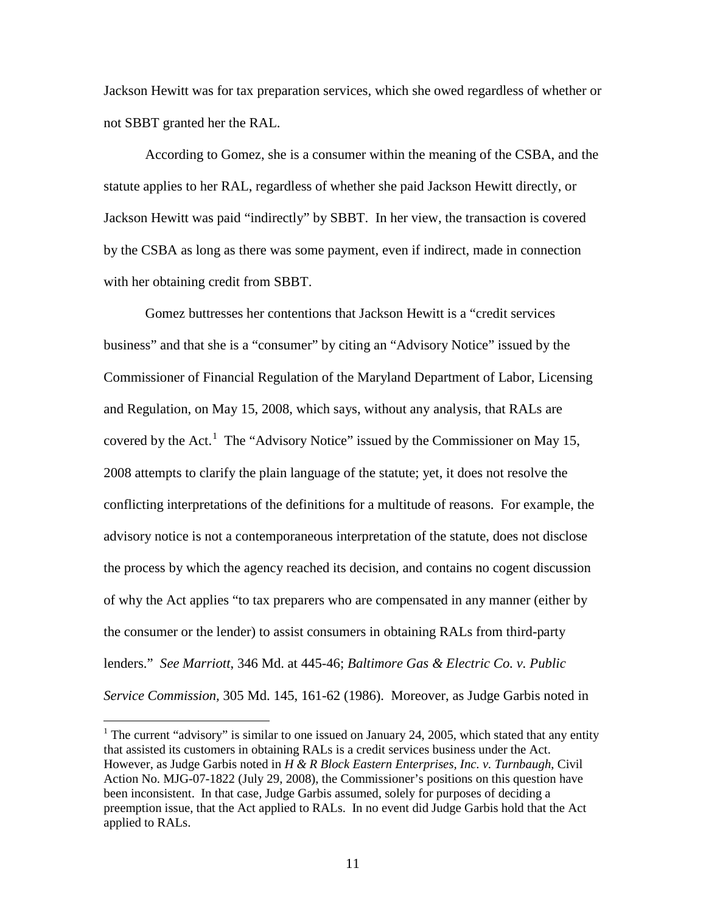Jackson Hewitt was for tax preparation services, which she owed regardless of whether or not SBBT granted her the RAL.

According to Gomez, she is a consumer within the meaning of the CSBA, and the statute applies to her RAL, regardless of whether she paid Jackson Hewitt directly, or Jackson Hewitt was paid "indirectly" by SBBT. In her view, the transaction is covered by the CSBA as long as there was some payment, even if indirect, made in connection with her obtaining credit from SBBT.

Gomez buttresses her contentions that Jackson Hewitt is a "credit services business" and that she is a "consumer" by citing an "Advisory Notice" issued by the Commissioner of Financial Regulation of the Maryland Department of Labor, Licensing and Regulation, on May 15, 2008, which says, without any analysis, that RALs are covered by the Act.<sup>[1](#page-10-0)</sup> The "Advisory Notice" issued by the Commissioner on May 15, 2008 attempts to clarify the plain language of the statute; yet, it does not resolve the conflicting interpretations of the definitions for a multitude of reasons. For example, the advisory notice is not a contemporaneous interpretation of the statute, does not disclose the process by which the agency reached its decision, and contains no cogent discussion of why the Act applies "to tax preparers who are compensated in any manner (either by the consumer or the lender) to assist consumers in obtaining RALs from third-party lenders." *See Marriott*, 346 Md. at 445-46; *Baltimore Gas & Electric Co. v. Public Service Commission,* 305 Md. 145, 161-62 (1986). Moreover, as Judge Garbis noted in

<span id="page-10-0"></span><sup>&</sup>lt;sup>1</sup> The current "advisory" is similar to one issued on January 24, 2005, which stated that any entity that assisted its customers in obtaining RALs is a credit services business under the Act. However, as Judge Garbis noted in *H & R Block Eastern Enterprises, Inc. v. Turnbaugh*, Civil Action No. MJG-07-1822 (July 29, 2008), the Commissioner's positions on this question have been inconsistent. In that case, Judge Garbis assumed, solely for purposes of deciding a preemption issue, that the Act applied to RALs. In no event did Judge Garbis hold that the Act applied to RALs.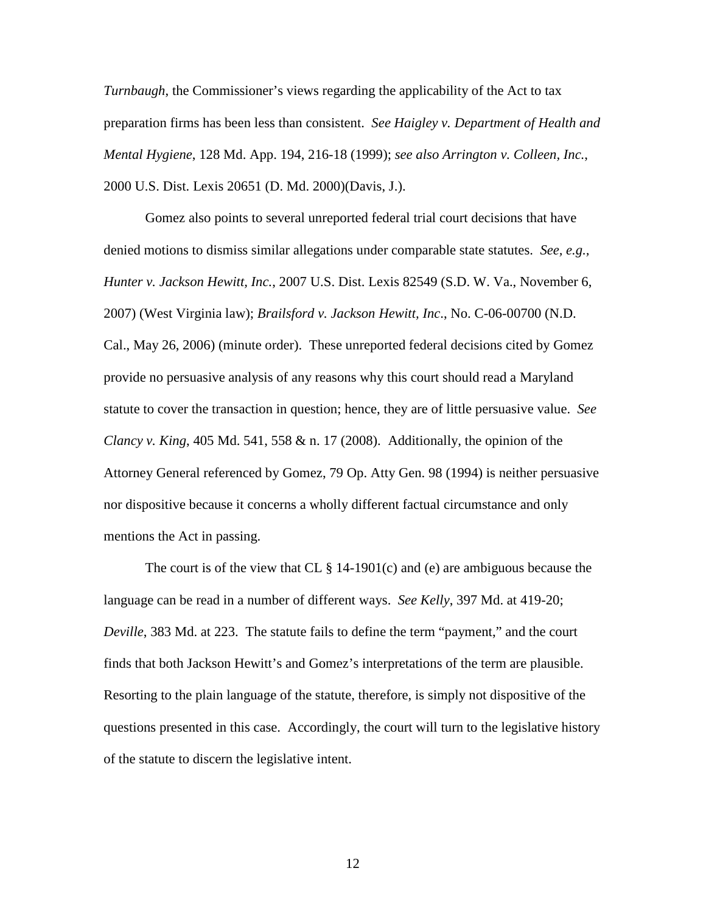*Turnbaugh*, the Commissioner's views regarding the applicability of the Act to tax preparation firms has been less than consistent. *See Haigley v. Department of Health and Mental Hygiene*, 128 Md. App. 194, 216-18 (1999); *see also Arrington v. Colleen, Inc.*, 2000 U.S. Dist. Lexis 20651 (D. Md. 2000)(Davis, J.).

Gomez also points to several unreported federal trial court decisions that have denied motions to dismiss similar allegations under comparable state statutes. *See, e.g., Hunter v. Jackson Hewitt, Inc.*, 2007 U.S. Dist. Lexis 82549 (S.D. W. Va., November 6, 2007) (West Virginia law); *Brailsford v. Jackson Hewitt, Inc*., No. C-06-00700 (N.D. Cal., May 26, 2006) (minute order). These unreported federal decisions cited by Gomez provide no persuasive analysis of any reasons why this court should read a Maryland statute to cover the transaction in question; hence, they are of little persuasive value. *See Clancy v. King*, 405 Md. 541, 558 & n. 17 (2008). Additionally, the opinion of the Attorney General referenced by Gomez, 79 Op. Atty Gen. 98 (1994) is neither persuasive nor dispositive because it concerns a wholly different factual circumstance and only mentions the Act in passing.

The court is of the view that CL  $\S$  14-1901(c) and (e) are ambiguous because the language can be read in a number of different ways. *See Kelly*, 397 Md. at 419-20; *Deville*, 383 Md. at 223. The statute fails to define the term "payment," and the court finds that both Jackson Hewitt's and Gomez's interpretations of the term are plausible. Resorting to the plain language of the statute, therefore, is simply not dispositive of the questions presented in this case. Accordingly, the court will turn to the legislative history of the statute to discern the legislative intent.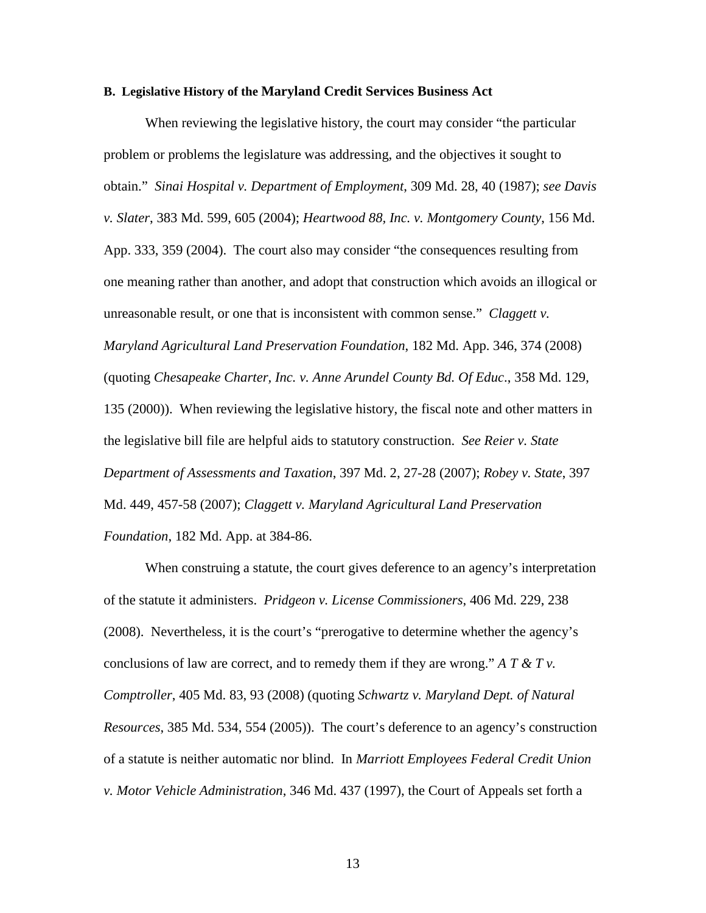## **B. Legislative History of the Maryland Credit Services Business Act**

When reviewing the legislative history, the court may consider "the particular problem or problems the legislature was addressing, and the objectives it sought to obtain." *Sinai Hospital v. Department of Employment*, 309 Md. 28, 40 (1987); *see Davis v. Slater*, 383 Md. 599, 605 (2004); *Heartwood 88, Inc. v. Montgomery County*, 156 Md. App. 333, 359 (2004). The court also may consider "the consequences resulting from one meaning rather than another, and adopt that construction which avoids an illogical or unreasonable result, or one that is inconsistent with common sense." *Claggett v. Maryland Agricultural Land Preservation Foundation*, 182 Md. App. 346, 374 (2008) (quoting *Chesapeake Charter, Inc. v. Anne Arundel County Bd. Of Educ*., 358 Md. 129, 135 (2000)). When reviewing the legislative history, the fiscal note and other matters in the legislative bill file are helpful aids to statutory construction. *See Reier v. State Department of Assessments and Taxation*, 397 Md. 2, 27-28 (2007); *Robey v. State*, 397 Md. 449, 457-58 (2007); *Claggett v. Maryland Agricultural Land Preservation Foundation*, 182 Md. App. at 384-86.

When construing a statute, the court gives deference to an agency's interpretation of the statute it administers. *Pridgeon v. License Commissioners*, 406 Md. 229, 238 (2008). Nevertheless, it is the court's "prerogative to determine whether the agency's conclusions of law are correct, and to remedy them if they are wrong." *A T & T v. Comptroller*, 405 Md. 83, 93 (2008) (quoting *Schwartz v. Maryland Dept. of Natural Resources*, 385 Md. 534, 554 (2005)). The court's deference to an agency's construction of a statute is neither automatic nor blind. In *Marriott Employees Federal Credit Union v. Motor Vehicle Administration*, 346 Md. 437 (1997), the Court of Appeals set forth a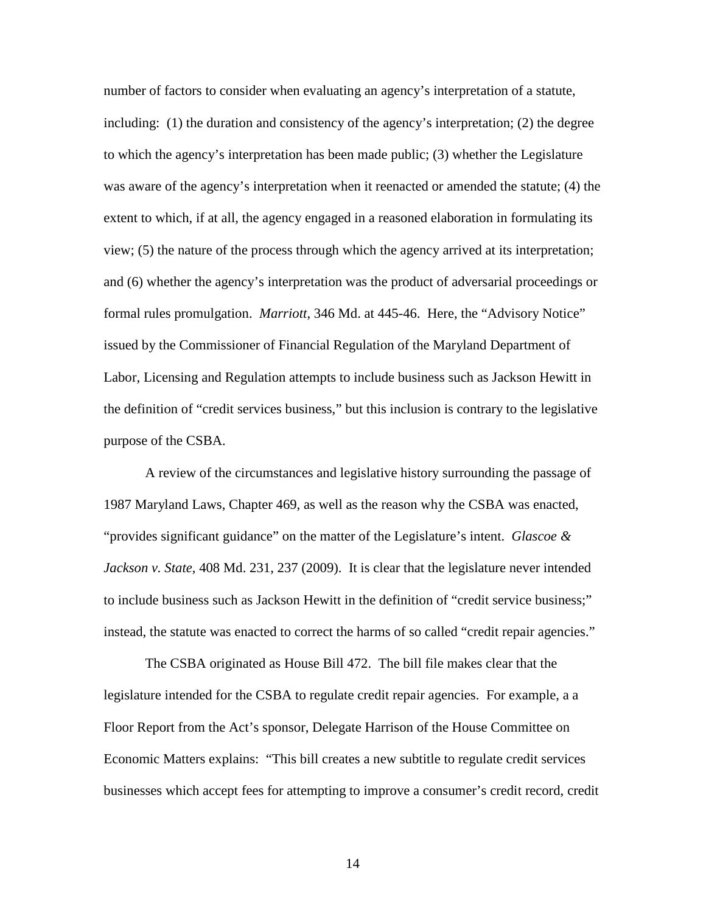number of factors to consider when evaluating an agency's interpretation of a statute, including: (1) the duration and consistency of the agency's interpretation; (2) the degree to which the agency's interpretation has been made public; (3) whether the Legislature was aware of the agency's interpretation when it reenacted or amended the statute; (4) the extent to which, if at all, the agency engaged in a reasoned elaboration in formulating its view; (5) the nature of the process through which the agency arrived at its interpretation; and (6) whether the agency's interpretation was the product of adversarial proceedings or formal rules promulgation. *Marriott*, 346 Md. at 445-46. Here, the "Advisory Notice" issued by the Commissioner of Financial Regulation of the Maryland Department of Labor, Licensing and Regulation attempts to include business such as Jackson Hewitt in the definition of "credit services business," but this inclusion is contrary to the legislative purpose of the CSBA.

A review of the circumstances and legislative history surrounding the passage of 1987 Maryland Laws, Chapter 469, as well as the reason why the CSBA was enacted, "provides significant guidance" on the matter of the Legislature's intent. *Glascoe & Jackson v. State*, 408 Md. 231, 237 (2009). It is clear that the legislature never intended to include business such as Jackson Hewitt in the definition of "credit service business;" instead, the statute was enacted to correct the harms of so called "credit repair agencies."

The CSBA originated as House Bill 472. The bill file makes clear that the legislature intended for the CSBA to regulate credit repair agencies. For example, a a Floor Report from the Act's sponsor, Delegate Harrison of the House Committee on Economic Matters explains: "This bill creates a new subtitle to regulate credit services businesses which accept fees for attempting to improve a consumer's credit record, credit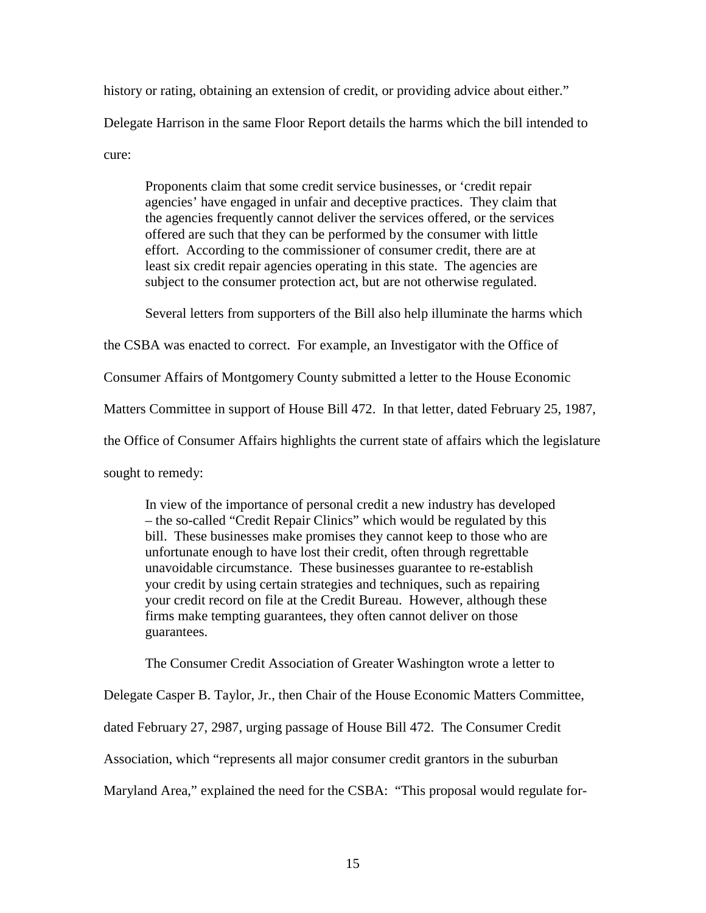history or rating, obtaining an extension of credit, or providing advice about either." Delegate Harrison in the same Floor Report details the harms which the bill intended to cure:

Proponents claim that some credit service businesses, or 'credit repair agencies' have engaged in unfair and deceptive practices. They claim that the agencies frequently cannot deliver the services offered, or the services offered are such that they can be performed by the consumer with little effort. According to the commissioner of consumer credit, there are at least six credit repair agencies operating in this state. The agencies are subject to the consumer protection act, but are not otherwise regulated.

Several letters from supporters of the Bill also help illuminate the harms which

the CSBA was enacted to correct. For example, an Investigator with the Office of

Consumer Affairs of Montgomery County submitted a letter to the House Economic

Matters Committee in support of House Bill 472. In that letter, dated February 25, 1987,

the Office of Consumer Affairs highlights the current state of affairs which the legislature

sought to remedy:

In view of the importance of personal credit a new industry has developed – the so-called "Credit Repair Clinics" which would be regulated by this bill. These businesses make promises they cannot keep to those who are unfortunate enough to have lost their credit, often through regrettable unavoidable circumstance. These businesses guarantee to re-establish your credit by using certain strategies and techniques, such as repairing your credit record on file at the Credit Bureau. However, although these firms make tempting guarantees, they often cannot deliver on those guarantees.

The Consumer Credit Association of Greater Washington wrote a letter to

Delegate Casper B. Taylor, Jr., then Chair of the House Economic Matters Committee,

dated February 27, 2987, urging passage of House Bill 472. The Consumer Credit

Association, which "represents all major consumer credit grantors in the suburban

Maryland Area," explained the need for the CSBA: "This proposal would regulate for-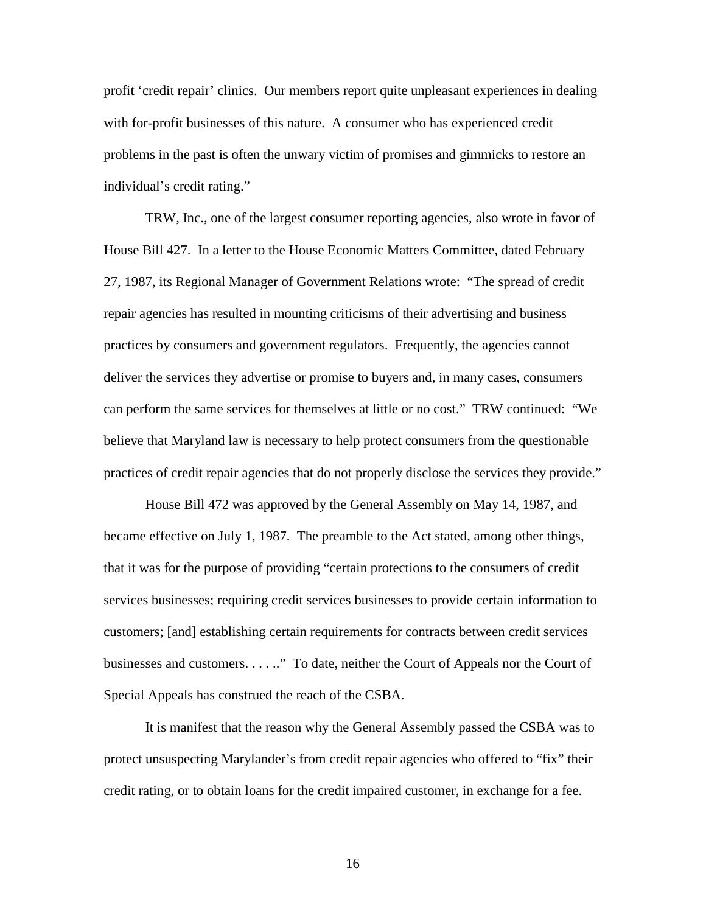profit 'credit repair' clinics. Our members report quite unpleasant experiences in dealing with for-profit businesses of this nature. A consumer who has experienced credit problems in the past is often the unwary victim of promises and gimmicks to restore an individual's credit rating."

TRW, Inc., one of the largest consumer reporting agencies, also wrote in favor of House Bill 427. In a letter to the House Economic Matters Committee, dated February 27, 1987, its Regional Manager of Government Relations wrote: "The spread of credit repair agencies has resulted in mounting criticisms of their advertising and business practices by consumers and government regulators. Frequently, the agencies cannot deliver the services they advertise or promise to buyers and, in many cases, consumers can perform the same services for themselves at little or no cost." TRW continued: "We believe that Maryland law is necessary to help protect consumers from the questionable practices of credit repair agencies that do not properly disclose the services they provide."

House Bill 472 was approved by the General Assembly on May 14, 1987, and became effective on July 1, 1987. The preamble to the Act stated, among other things, that it was for the purpose of providing "certain protections to the consumers of credit services businesses; requiring credit services businesses to provide certain information to customers; [and] establishing certain requirements for contracts between credit services businesses and customers. . . . .." To date, neither the Court of Appeals nor the Court of Special Appeals has construed the reach of the CSBA.

It is manifest that the reason why the General Assembly passed the CSBA was to protect unsuspecting Marylander's from credit repair agencies who offered to "fix" their credit rating, or to obtain loans for the credit impaired customer, in exchange for a fee.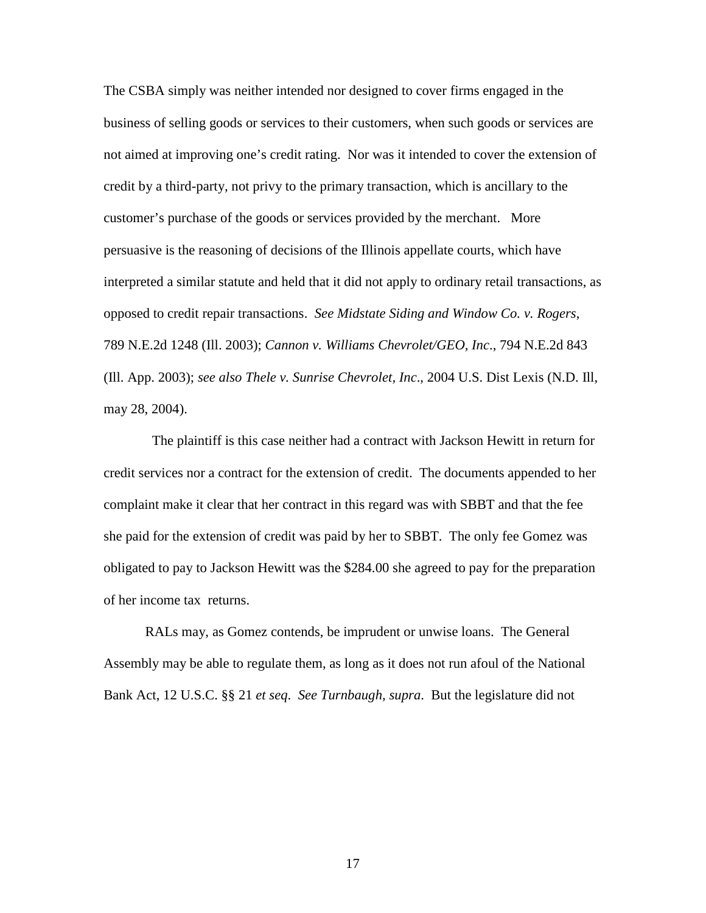The CSBA simply was neither intended nor designed to cover firms engaged in the business of selling goods or services to their customers, when such goods or services are not aimed at improving one's credit rating. Nor was it intended to cover the extension of credit by a third-party, not privy to the primary transaction, which is ancillary to the customer's purchase of the goods or services provided by the merchant. More persuasive is the reasoning of decisions of the Illinois appellate courts, which have interpreted a similar statute and held that it did not apply to ordinary retail transactions, as opposed to credit repair transactions. *See Midstate Siding and Window Co. v. Rogers*, 789 N.E.2d 1248 (Ill. 2003); *Cannon v. Williams Chevrolet/GEO, Inc*., 794 N.E.2d 843 (Ill. App. 2003); *see also Thele v. Sunrise Chevrolet, Inc*., 2004 U.S. Dist Lexis (N.D. Ill, may 28, 2004).

 The plaintiff is this case neither had a contract with Jackson Hewitt in return for credit services nor a contract for the extension of credit. The documents appended to her complaint make it clear that her contract in this regard was with SBBT and that the fee she paid for the extension of credit was paid by her to SBBT. The only fee Gomez was obligated to pay to Jackson Hewitt was the \$284.00 she agreed to pay for the preparation of her income tax returns.

RALs may, as Gomez contends, be imprudent or unwise loans. The General Assembly may be able to regulate them, as long as it does not run afoul of the National Bank Act, 12 U.S.C. §§ 21 *et seq*. *See Turnbaugh, supra*. But the legislature did not